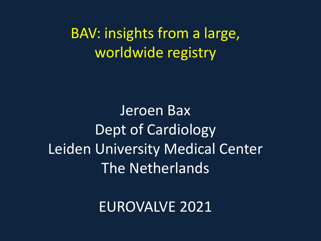BAV: insights from a large, worldwide registry

Jeroen Bax Dept of Cardiology Leiden University Medical Center The Netherlands

EUROVALVE 2021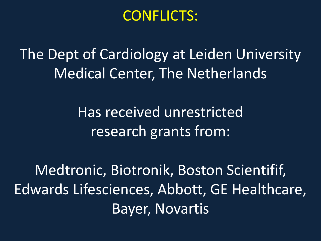#### CONFLICTS:

The Dept of Cardiology at Leiden University Medical Center, The Netherlands

> Has received unrestricted research grants from:

Medtronic, Biotronik, Boston Scientifif, Edwards Lifesciences, Abbott, GE Healthcare, Bayer, Novartis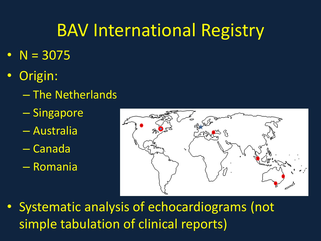# BAV International Registry

- $N = 3075$
- Origin:
	- The Netherlands
	- Singapore
	- Australia
	- Canada
	- Romania



• Systematic analysis of echocardiograms (not simple tabulation of clinical reports)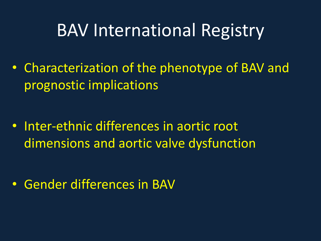## BAV International Registry

• Characterization of the phenotype of BAV and prognostic implications

• Inter-ethnic differences in aortic root dimensions and aortic valve dysfunction

• Gender differences in BAV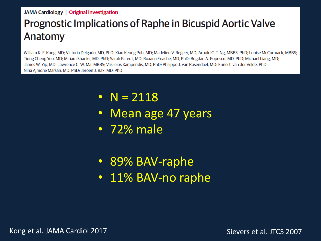#### JAMA Cardiology | Original Investigation

#### Prognostic Implications of Raphe in Bicuspid Aortic Valve Anatomy

William K. F. Kong, MD; Victoria Delgado, MD, PhD; Kian Keong Poh, MD; Madelien V. Regeer, MD; Arnold C. T. Ng, MBBS, PhD; Louise McCormack, MBBS; Tiong Cheng Yeo, MD; Miriam Shanks, MD, PhD; Sarah Parent, MD; Roxana Enache, MD, PhD; Bogdan A. Popescu, MD, PhD; Michael Liang, MD; James W. Yip, MD; Lawrence C. W. Ma, MBBS; Vasileios Kamperidis, MD, PhD; Philippe J. van Rosendael, MD; Enno T. van der Velde, PhD; Nina Ajmone Marsan, MD, PhD; Jeroen J. Bax, MD, PhD

- $N = 2118$
- Mean age 47 years
- 72% male
- 89% BAV-raphe
- 11% BAV-no raphe

Kong et al. JAMA Cardiol 2017

Sievers et al. JTCS 2007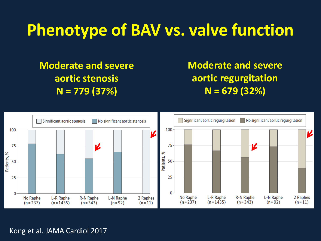#### **Phenotype of BAV vs. valve function**

**Moderate and severe aortic stenosis N = 779 (37%)**

**Moderate and severe aortic regurgitation N = 679 (32%)**



Kong et al. JAMA Cardiol 2017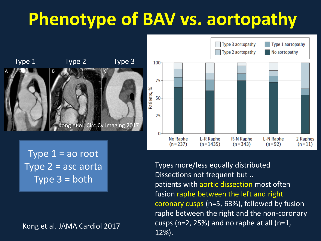# **Phenotype of BAV vs. aortopathy**



Type  $1 =$  ao root Type  $2 =$  asc aorta Type  $3 =$  both

Kong et al. JAMA Cardiol 2017



Types more/less equally distributed Dissections not frequent but .. patients with aortic dissection most often fusion raphe between the left and right coronary cusps (n=5, 63%), followed by fusion raphe between the right and the non-coronary cusps (n=2, 25%) and no raphe at all (n=1, 12%).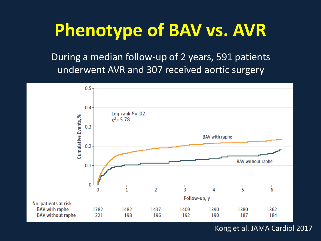# **Phenotype of BAV vs. AVR**

During a median follow-up of 2 years, 591 patients underwent AVR and 307 received aortic surgery



Kong et al. JAMA Cardiol 2017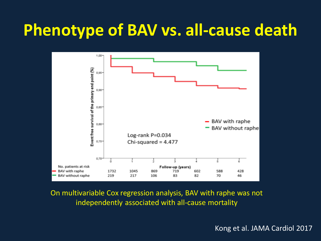#### **Phenotype of BAV vs. all-cause death**



On multivariable Cox regression analysis, BAV with raphe was not independently associated with all-cause mortality

Kong et al. JAMA Cardiol 2017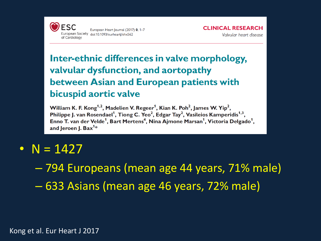FSC European Heart Journal (2017) 0, 1-7 European Society doi:10.1093/eurhearti/ehx562 of Cardiology

#### Inter-ethnic differences in valve morphology, valvular dysfunction, and aortopathy between Asian and European patients with bicuspid aortic valve

William K. F. Kong<sup>1,2</sup>, Madelien V. Regeer<sup>1</sup>, Kian K. Poh<sup>2</sup>, James W. Yip<sup>2</sup>, Philippe J. van Rosendael<sup>1</sup>, Tiong C. Yeo<sup>2</sup>, Edgar Tay<sup>2</sup>, Vasileios Kamperidis<sup>1,3</sup>, Enno T. van der Velde<sup>1</sup>, Bart Mertens<sup>4</sup>, Nina Ajmone Marsan<sup>1</sup>, Victoria Delgado<sup>1</sup>, and Jeroen J. Bax $1*$ 

•  $N = 1427$ 

– 794 Europeans (mean age 44 years, 71% male) – 633 Asians (mean age 46 years, 72% male)

Kong et al. Eur Heart J 2017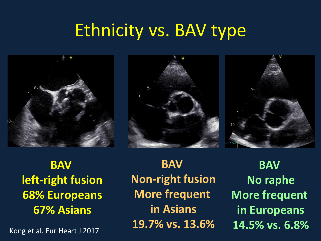## Ethnicity vs. BAV type







**BAV left-right fusion 68% Europeans 67% Asians**

**BAV Non-right fusion More frequent in Asians 19.7% vs. 13.6% 14.5% vs. 6.8%**<br>Kong et al. Eur Heart J 2017

**BAV No raphe More frequent in Europeans**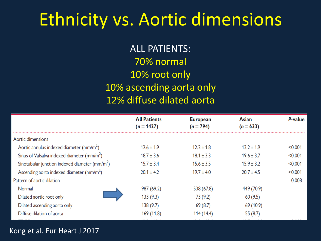### Ethnicity vs. Aortic dimensions

ALL PATIENTS: 70% normal 10% root only 10% ascending aorta only 12% diffuse dilated aorta

|                                                      | <b>All Patients</b><br>$(n = 1427)$ | <b>European</b><br>$(n = 794)$ | <b>Asian</b><br>$(n = 633)$ | <b>P-value</b> |
|------------------------------------------------------|-------------------------------------|--------------------------------|-----------------------------|----------------|
| Aortic dimensions                                    |                                     |                                |                             |                |
| Aortic annulus indexed diameter (mm/m <sup>2</sup> ) | $12.6 \pm 1.9$                      | $12.2 \pm 1.8$                 | $13.2 \pm 1.9$              | < 0.001        |
| Sinus of Valsalva indexed diameter $(mm/m2)$         | $18.7 \pm 3.6$                      | $18.1 \pm 3.3$                 | $19.6 \pm 3.7$              | < 0.001        |
| Sinotubular junction indexed diameter ( $mm/m2$ )    | $15.7 \pm 3.4$                      | $15.6 \pm 3.5$                 | $15.9 \pm 3.2$              | < 0.001        |
| Ascending aorta indexed diameter ( $mm/m2$ )         | $20.1 \pm 4.2$                      | $19.7 \pm 4.0$                 | $20.7 \pm 4.5$              | < 0.001        |
| Pattern of aortic dilation                           |                                     |                                |                             | 0.008          |
| Normal                                               | 987 (69.2)                          | 538 (67.8)                     | 449 (70.9)                  |                |
| Dilated aortic root only                             | 133(9.3)                            | 73 (9.2)                       | 60(9.5)                     |                |
| Dilated ascending aorta only                         | 138(9.7)                            | 69(8.7)                        | 69 (10.9)                   |                |
| Diffuse dilation of aorta                            | 169 (11.8)                          | 114 (14.4)                     | 55(8.7)                     |                |

#### Kong et al. Eur Heart J 2017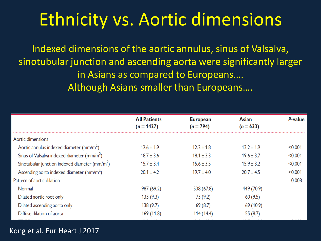# Ethnicity vs. Aortic dimensions

Indexed dimensions of the aortic annulus, sinus of Valsalva, sinotubular junction and ascending aorta were significantly larger in Asians as compared to Europeans…. Although Asians smaller than Europeans….

|                                                      | <b>All Patients</b><br>$(n = 1427)$ | <b>European</b><br>$(n = 794)$ | <b>Asian</b><br>$(n = 633)$ | P-value |
|------------------------------------------------------|-------------------------------------|--------------------------------|-----------------------------|---------|
| Aortic dimensions                                    |                                     |                                |                             |         |
| Aortic annulus indexed diameter (mm/m <sup>2</sup> ) | $12.6 \pm 1.9$                      | $12.2 \pm 1.8$                 | $13.2 \pm 1.9$              | < 0.001 |
| Sinus of Valsalva indexed diameter $\frac{m}{m^2}$   | $18.7 \pm 3.6$                      | $18.1 \pm 3.3$                 | $19.6 \pm 3.7$              | < 0.001 |
| Sinotubular junction indexed diameter $(mm/m2)$      | $15.7 \pm 3.4$                      | $15.6 \pm 3.5$                 | $15.9 \pm 3.2$              | < 0.001 |
| Ascending aorta indexed diameter ( $mm/m2$ )         | $20.1 \pm 4.2$                      | $19.7 \pm 4.0$                 | $20.7 \pm 4.5$              | < 0.001 |
| Pattern of aortic dilation                           |                                     |                                |                             | 0.008   |
| Normal                                               | 987 (69.2)                          | 538 (67.8)                     | 449 (70.9)                  |         |
| Dilated aortic root only                             | 133(9.3)                            | 73 (9.2)                       | 60(9.5)                     |         |
| Dilated ascending aorta only                         | 138(9.7)                            | 69(8.7)                        | 69 (10.9)                   |         |
| Diffuse dilation of aorta                            | 169 (11.8)                          | 114 (14.4)                     | 55(8.7)                     |         |

#### Kong et al. Eur Heart J 2017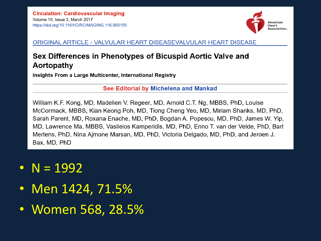

#### ORIGINAL ARTICLE - VALVULAR HEART DISEASEVALVULAR HEART DISEASE

#### Sex Differences in Phenotypes of Bicuspid Aortic Valve and Aortopathy

Insights From a Large Multicenter, International Registry

See Editorial by Michelena and Mankad

William K.F. Kong, MD, Madelien V. Regeer, MD, Arnold C.T. Ng, MBBS, PhD, Louise McCormack, MBBS, Kian Keong Poh, MD, Tiong Cheng Yeo, MD, Miriam Shanks, MD, PhD, Sarah Parent, MD, Roxana Enache, MD, PhD, Bogdan A. Popescu, MD, PhD, James W. Yip, MD, Lawrence Ma, MBBS, Vasileios Kamperidis, MD, PhD, Enno T, van der Velde, PhD, Bart Mertens, PhD, Nina Ajmone Marsan, MD, PhD, Victoria Delgado, MD, PhD, and Jeroen J. Bax, MD, PhD

- $N = 1992$
- Men 1424, 71.5%
- Women 568, 28.5%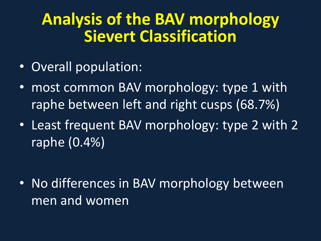#### **Analysis of the BAV morphology Sievert Classification**

- Overall population:
- most common BAV morphology: type 1 with raphe between left and right cusps (68.7%)
- Least frequent BAV morphology: type 2 with 2 raphe (0.4%)

• No differences in BAV morphology between men and women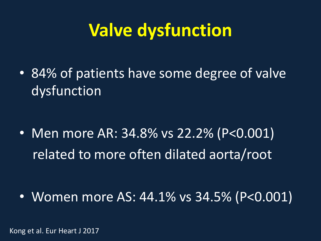# **Valve dysfunction**

• 84% of patients have some degree of valve dysfunction

• Men more AR: 34.8% vs 22.2% (P<0.001) related to more often dilated aorta/root

• Women more AS: 44.1% vs 34.5% (P<0.001)

Kong et al. Eur Heart J 2017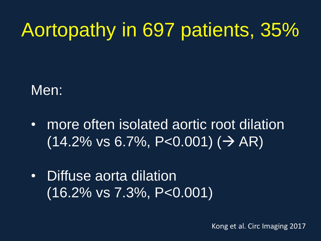# Aortopathy in 697 patients, 35%

Men:

- more often isolated aortic root dilation  $(14.2\% \text{ vs } 6.7\%, \text{ P}<0.001) (\rightarrow \text{AR})$
- Diffuse aorta dilation (16.2% vs 7.3%, P<0.001)

Kong et al. Circ Imaging 2017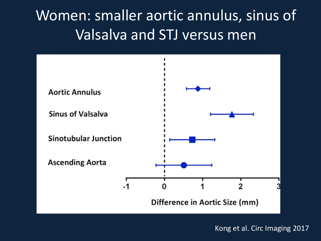#### Women: smaller aortic annulus, sinus of Valsalva and STJ versus men



Kong et al. Circ Imaging 2017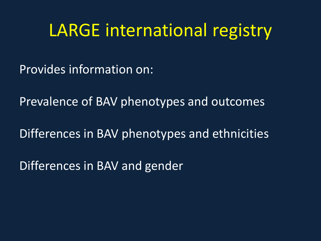### LARGE international registry

Provides information on:

Prevalence of BAV phenotypes and outcomes

Differences in BAV phenotypes and ethnicities

Differences in BAV and gender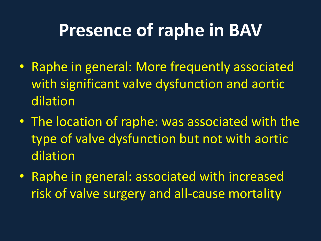## **Presence of raphe in BAV**

- Raphe in general: More frequently associated with significant valve dysfunction and aortic dilation
- The location of raphe: was associated with the type of valve dysfunction but not with aortic dilation
- Raphe in general: associated with increased risk of valve surgery and all-cause mortality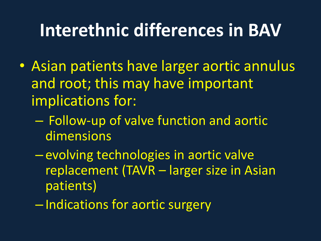# **Interethnic differences in BAV**

- Asian patients have larger aortic annulus and root; this may have important implications for:
	- Follow-up of valve function and aortic dimensions
	- evolving technologies in aortic valve replacement (TAVR – larger size in Asian patients)
	- Indications for aortic surgery